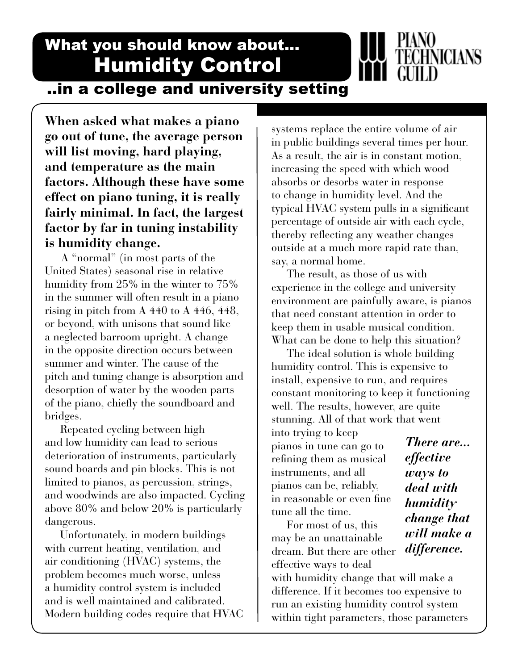What you should know about... Humidity Control

...in a college and university setting

**When asked what makes a piano go out of tune, the average person will list moving, hard playing, and temperature as the main factors. Although these have some effect on piano tuning, it is really fairly minimal. In fact, the largest factor by far in tuning instability is humidity change.**

 A "normal" (in most parts of the United States) seasonal rise in relative humidity from 25% in the winter to 75% in the summer will often result in a piano rising in pitch from A 440 to A 446, 448, or beyond, with unisons that sound like a neglected barroom upright. A change in the opposite direction occurs between summer and winter. The cause of the pitch and tuning change is absorption and desorption of water by the wooden parts of the piano, chiefly the soundboard and bridges.

 Repeated cycling between high and low humidity can lead to serious deterioration of instruments, particularly sound boards and pin blocks. This is not limited to pianos, as percussion, strings, and woodwinds are also impacted. Cycling above 80% and below 20% is particularly dangerous.

 Unfortunately, in modern buildings with current heating, ventilation, and air conditioning (HVAC) systems, the problem becomes much worse, unless a humidity control system is included and is well maintained and calibrated. Modern building codes require that HVAC systems replace the entire volume of air in public buildings several times per hour. As a result, the air is in constant motion, increasing the speed with which wood absorbs or desorbs water in response to change in humidity level. And the typical HVAC system pulls in a significant percentage of outside air with each cycle, thereby reflecting any weather changes outside at a much more rapid rate than, say, a normal home.

 The result, as those of us with experience in the college and university environment are painfully aware, is pianos that need constant attention in order to keep them in usable musical condition. What can be done to help this situation?

 The ideal solution is whole building humidity control. This is expensive to install, expensive to run, and requires constant monitoring to keep it functioning well. The results, however, are quite stunning. All of that work that went

into trying to keep pianos in tune can go to refining them as musical instruments, and all pianos can be, reliably, in reasonable or even fine tune all the time.

 For most of us, this may be an unattainable dream. But there are other effective ways to deal

with humidity change that will make a difference. If it becomes too expensive to run an existing humidity control system within tight parameters, those parameters

*There are... effective ways to deal with humidity change that will make a difference.*